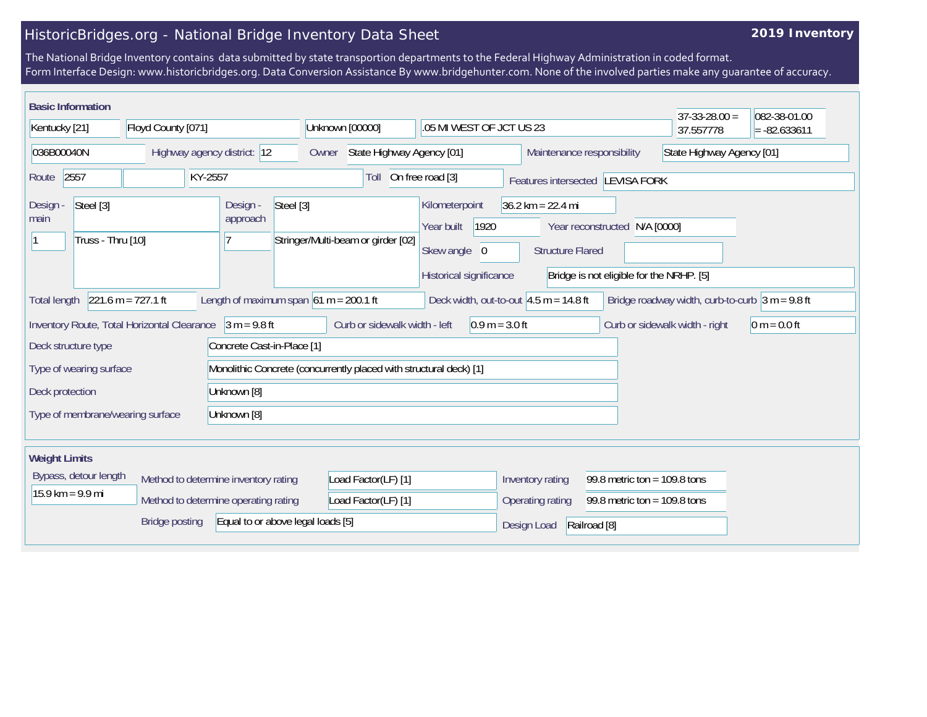## HistoricBridges.org - National Bridge Inventory Data Sheet

## **2019 Inventory**

The National Bridge Inventory contains data submitted by state transportion departments to the Federal Highway Administration in coded format. Form Interface Design: www.historicbridges.org. Data Conversion Assistance By www.bridgehunter.com. None of the involved parties make any guarantee of accuracy.

| <b>Basic Information</b>                                                                |                      |                                          |                                                                                                                                                                                                                                |                                                    |                                                    |                                  | $37 - 33 - 28.00 =$                                | 082-38-01.00              |  |
|-----------------------------------------------------------------------------------------|----------------------|------------------------------------------|--------------------------------------------------------------------------------------------------------------------------------------------------------------------------------------------------------------------------------|----------------------------------------------------|----------------------------------------------------|----------------------------------|----------------------------------------------------|---------------------------|--|
| Kentucky [21]                                                                           | Floyd County [071]   |                                          | Unknown [00000]<br>.05 MI WEST OF JCT US 23                                                                                                                                                                                    |                                                    |                                                    |                                  | 37.557778                                          | $= -82.633611$            |  |
| 036B00040N                                                                              |                      | Highway agency district: 12              | State Highway Agency [01]<br>Owner                                                                                                                                                                                             |                                                    | Maintenance responsibility                         |                                  |                                                    | State Highway Agency [01] |  |
| 2557<br>Route                                                                           |                      | KY-2557                                  | Toll                                                                                                                                                                                                                           | On free road [3]                                   |                                                    | Features intersected LEVISA FORK |                                                    |                           |  |
| Steel [3]<br>Steel [3]<br>Design -<br>Design -<br>approach<br>main<br>Truss - Thru [10] |                      | Stringer/Multi-beam or girder [02]       | Kilometerpoint<br>$36.2 \text{ km} = 22.4 \text{ mi}$<br>1920<br>Year built<br>Year reconstructed N/A [0000]<br>Skew angle 0<br><b>Structure Flared</b><br>Historical significance<br>Bridge is not eligible for the NRHP. [5] |                                                    |                                                    |                                  |                                                    |                           |  |
| <b>Total length</b>                                                                     | $221.6 m = 727.1 ft$ | Length of maximum span $61 m = 200.1 ft$ |                                                                                                                                                                                                                                | Deck width, out-to-out $4.5$ m = 14.8 ft           |                                                    |                                  | Bridge roadway width, curb-to-curb $ 3 m = 9.8$ ft |                           |  |
| Inventory Route, Total Horizontal Clearance                                             |                      | $3 m = 9.8 ft$                           | Curb or sidewalk width - left                                                                                                                                                                                                  | $0.9 m = 3.0 ft$                                   |                                                    |                                  | Curb or sidewalk width - right                     | $0 m = 0.0 ft$            |  |
| Deck structure type                                                                     |                      | Concrete Cast-in-Place [1]               |                                                                                                                                                                                                                                |                                                    |                                                    |                                  |                                                    |                           |  |
| Type of wearing surface                                                                 |                      |                                          | Monolithic Concrete (concurrently placed with structural deck) [1]                                                                                                                                                             |                                                    |                                                    |                                  |                                                    |                           |  |
| Deck protection                                                                         |                      | Unknown [8]                              |                                                                                                                                                                                                                                |                                                    |                                                    |                                  |                                                    |                           |  |
| Type of membrane/wearing surface                                                        |                      | Unknown [8]                              |                                                                                                                                                                                                                                |                                                    |                                                    |                                  |                                                    |                           |  |
| <b>Weight Limits</b>                                                                    |                      |                                          |                                                                                                                                                                                                                                |                                                    |                                                    |                                  |                                                    |                           |  |
| Bypass, detour length<br>Method to determine inventory rating                           |                      | Load Factor(LF) [1]                      |                                                                                                                                                                                                                                | 99.8 metric ton = $109.8$ tons<br>Inventory rating |                                                    |                                  |                                                    |                           |  |
| $15.9 \text{ km} = 9.9 \text{ mi}$                                                      |                      | Method to determine operating rating     | Load Factor(LF) [1]                                                                                                                                                                                                            |                                                    | Operating rating<br>99.8 metric ton = $109.8$ tons |                                  |                                                    |                           |  |
| <b>Bridge posting</b><br>Equal to or above legal loads [5]                              |                      |                                          |                                                                                                                                                                                                                                |                                                    | Design Load<br>Railroad [8]                        |                                  |                                                    |                           |  |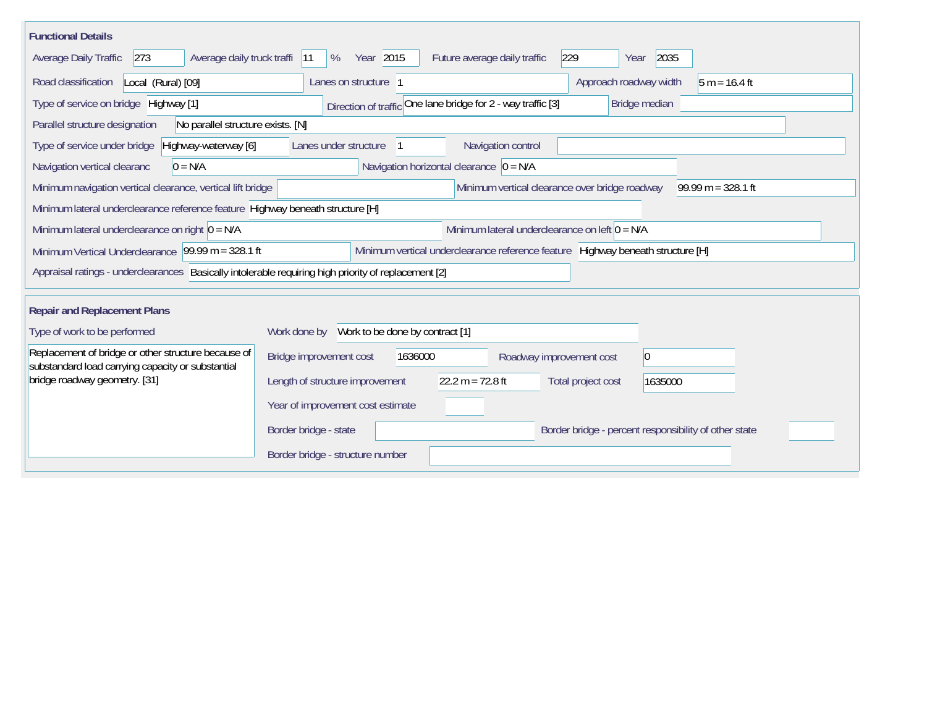| <b>Functional Details</b>                                                                                                             |                                                                                        |  |  |  |  |  |  |  |  |  |
|---------------------------------------------------------------------------------------------------------------------------------------|----------------------------------------------------------------------------------------|--|--|--|--|--|--|--|--|--|
| Average Daily Traffic<br>273<br>Average daily truck traffi                                                                            | Year 2015<br>229<br>2035<br>%<br>Future average daily traffic<br> 11<br>Year           |  |  |  |  |  |  |  |  |  |
| Road classification<br>Local (Rural) [09]                                                                                             | Lanes on structure 1<br>Approach roadway width<br>$5 m = 16.4 ft$                      |  |  |  |  |  |  |  |  |  |
| Type of service on bridge Highway [1]                                                                                                 | Direction of traffic One lane bridge for 2 - way traffic [3]<br>Bridge median          |  |  |  |  |  |  |  |  |  |
| Parallel structure designation<br>No parallel structure exists. [N]                                                                   |                                                                                        |  |  |  |  |  |  |  |  |  |
| Type of service under bridge<br>Highway-waterway [6]                                                                                  | Navigation control<br>Lanes under structure                                            |  |  |  |  |  |  |  |  |  |
| Navigation horizontal clearance $ 0 = N/A $<br>Navigation vertical clearanc<br>$0 = N/A$                                              |                                                                                        |  |  |  |  |  |  |  |  |  |
| Minimum vertical clearance over bridge roadway<br>$99.99 m = 328.1 ft$<br>Minimum navigation vertical clearance, vertical lift bridge |                                                                                        |  |  |  |  |  |  |  |  |  |
| Minimum lateral underclearance reference feature Highway beneath structure [H]                                                        |                                                                                        |  |  |  |  |  |  |  |  |  |
| Minimum lateral underclearance on right $O = N/A$                                                                                     | Minimum lateral underclearance on left $0 = N/A$                                       |  |  |  |  |  |  |  |  |  |
| Minimum Vertical Underclearance 99.99 m = 328.1 ft                                                                                    | Minimum vertical underclearance reference feature Highway beneath structure [H]        |  |  |  |  |  |  |  |  |  |
| Appraisal ratings - underclearances Basically intolerable requiring high priority of replacement [2]                                  |                                                                                        |  |  |  |  |  |  |  |  |  |
| <b>Repair and Replacement Plans</b>                                                                                                   |                                                                                        |  |  |  |  |  |  |  |  |  |
| Type of work to be performed                                                                                                          | Work done by Work to be done by contract [1]                                           |  |  |  |  |  |  |  |  |  |
| Replacement of bridge or other structure because of<br>substandard load carrying capacity or substantial                              | Bridge improvement cost<br> 0 <br>1636000<br>Roadway improvement cost                  |  |  |  |  |  |  |  |  |  |
| bridge roadway geometry. [31]                                                                                                         | 22.2 m = $72.8$ ft<br>Length of structure improvement<br>Total project cost<br>1635000 |  |  |  |  |  |  |  |  |  |
|                                                                                                                                       | Year of improvement cost estimate                                                      |  |  |  |  |  |  |  |  |  |
|                                                                                                                                       | Border bridge - state<br>Border bridge - percent responsibility of other state         |  |  |  |  |  |  |  |  |  |
|                                                                                                                                       | Border bridge - structure number                                                       |  |  |  |  |  |  |  |  |  |